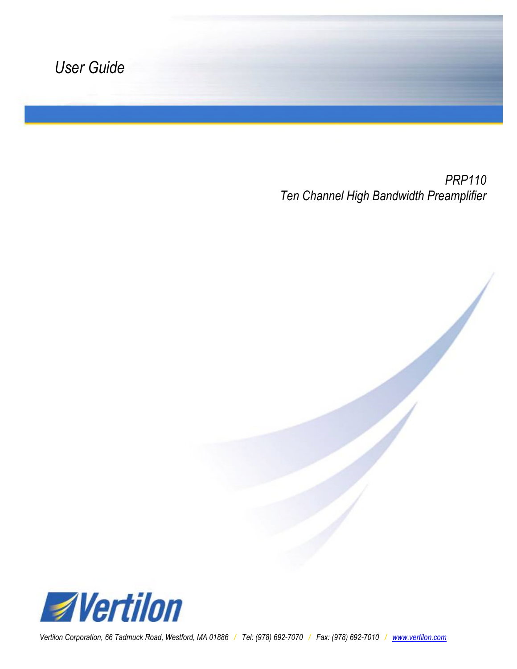

*PRP110 Ten Channel High Bandwidth Preamplifier* 



*Vertilon Corporation, 66 Tadmuck Road, Westford, MA 01886 / Tel: (978) 692-7070 / Fax: (978) 692-7010 / www.vertilon.com*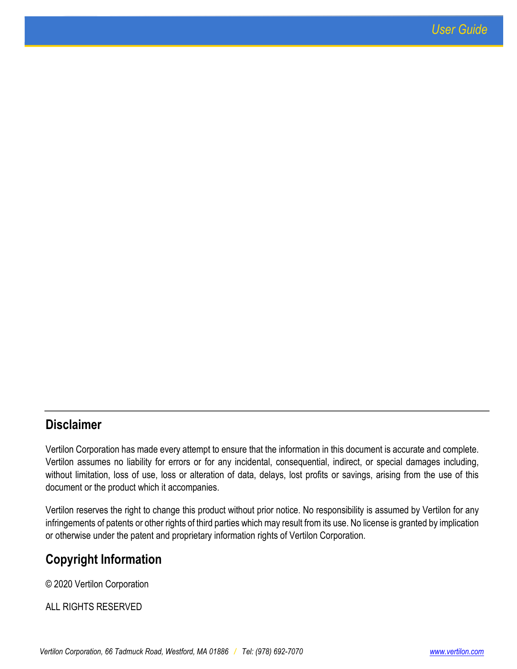### **Disclaimer**

Vertilon Corporation has made every attempt to ensure that the information in this document is accurate and complete. Vertilon assumes no liability for errors or for any incidental, consequential, indirect, or special damages including, without limitation, loss of use, loss or alteration of data, delays, lost profits or savings, arising from the use of this document or the product which it accompanies.

Vertilon reserves the right to change this product without prior notice. No responsibility is assumed by Vertilon for any infringements of patents or other rights of third parties which may result from its use. No license is granted by implication or otherwise under the patent and proprietary information rights of Vertilon Corporation.

## **Copyright Information**

© 2020 Vertilon Corporation

ALL RIGHTS RESERVED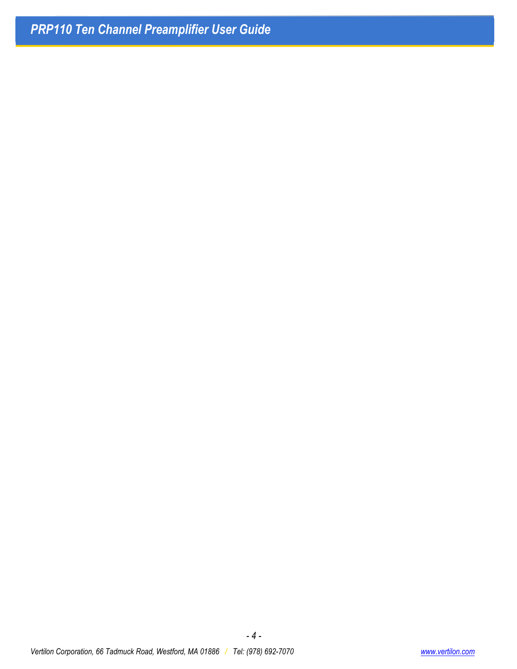*- 4 -*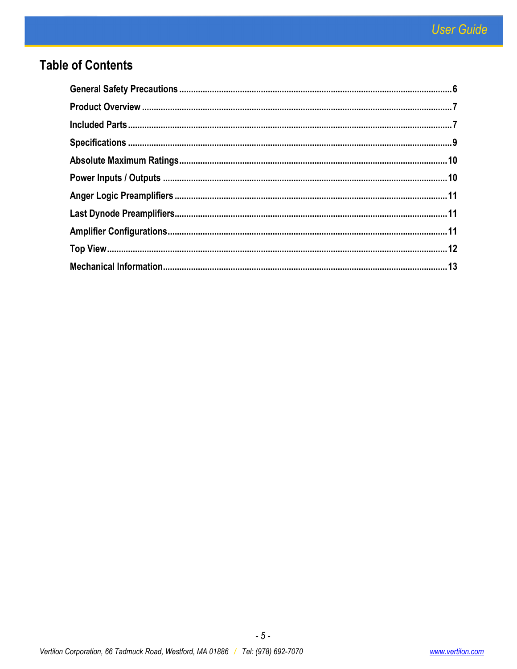# **Table of Contents**

 $-5-$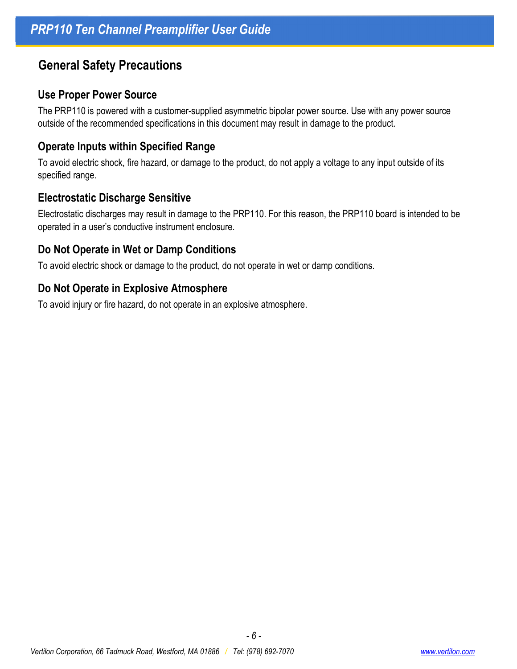## **General Safety Precautions**

#### **Use Proper Power Source**

The PRP110 is powered with a customer-supplied asymmetric bipolar power source. Use with any power source outside of the recommended specifications in this document may result in damage to the product.

### **Operate Inputs within Specified Range**

To avoid electric shock, fire hazard, or damage to the product, do not apply a voltage to any input outside of its specified range.

#### **Electrostatic Discharge Sensitive**

Electrostatic discharges may result in damage to the PRP110. For this reason, the PRP110 board is intended to be operated in a user's conductive instrument enclosure.

*- 6 -* 

#### **Do Not Operate in Wet or Damp Conditions**

To avoid electric shock or damage to the product, do not operate in wet or damp conditions.

#### **Do Not Operate in Explosive Atmosphere**

To avoid injury or fire hazard, do not operate in an explosive atmosphere.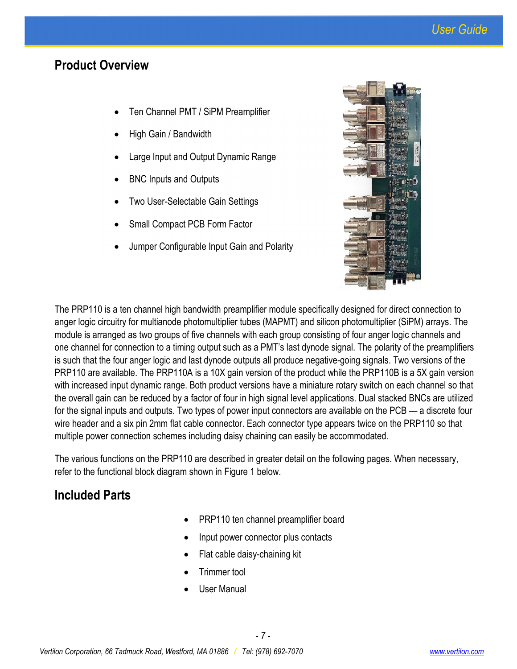## **Product Overview**

- Ten Channel PMT / SiPM Preamplifier
- High Gain / Bandwidth
- Large Input and Output Dynamic Range
- BNC Inputs and Outputs
- Two User-Selectable Gain Settings
- Small Compact PCB Form Factor
- Jumper Configurable Input Gain and Polarity



The PRP110 is a ten channel high bandwidth preamplifier module specifically designed for direct connection to anger logic circuitry for multianode photomultiplier tubes (MAPMT) and silicon photomultiplier (SiPM) arrays. The module is arranged as two groups of five channels with each group consisting of four anger logic channels and one channel for connection to a timing output such as a PMT's last dynode signal. The polarity of the preamplifiers is such that the four anger logic and last dynode outputs all produce negative-going signals. Two versions of the PRP110 are available. The PRP110A is a 10X gain version of the product while the PRP110B is a 5X gain version with increased input dynamic range. Both product versions have a miniature rotary switch on each channel so that the overall gain can be reduced by a factor of four in high signal level applications. Dual stacked BNCs are utilized for the signal inputs and outputs. Two types of power input connectors are available on the PCB — a discrete four wire header and a six pin 2mm flat cable connector. Each connector type appears twice on the PRP110 so that multiple power connection schemes including daisy chaining can easily be accommodated.

The various functions on the PRP110 are described in greater detail on the following pages. When necessary, refer to the functional block diagram shown in Figure 1 below.

# **Included Parts**

PRP110 ten channel preamplifier board

*- 7 -* 

- Input power connector plus contacts
- Flat cable daisy-chaining kit
- Trimmer tool
- User Manual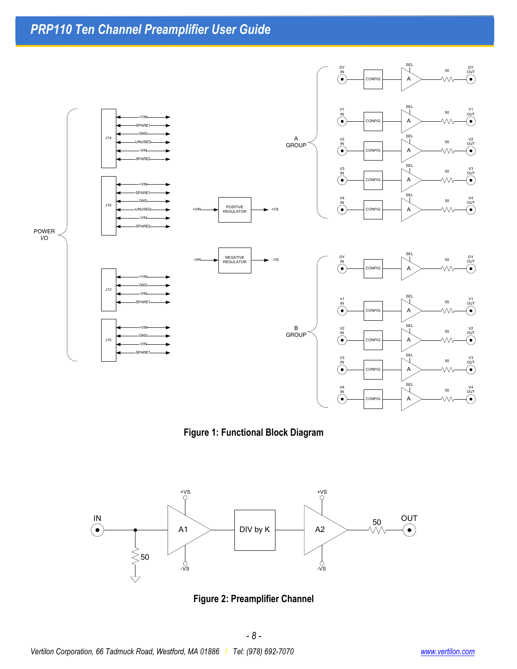# *PRP110 Ten Channel Preamplifier User Guide*



**Figure 1: Functional Block Diagram** 



**Figure 2: Preamplifier Channel** 

*- 8 -*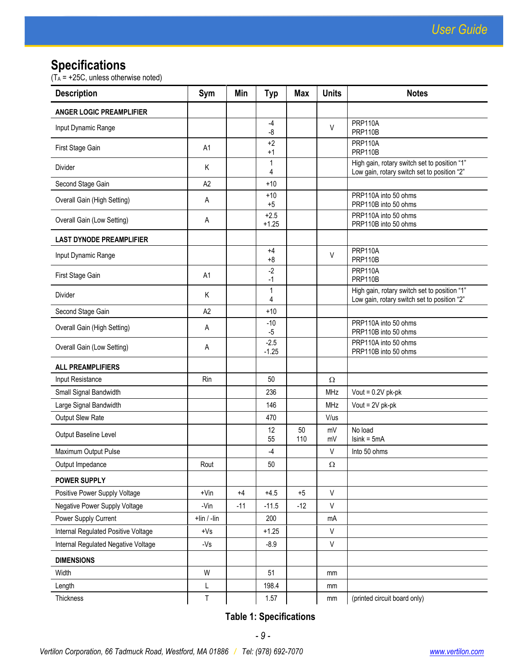## **Specifications**

 $(T_A = +25C$ , unless otherwise noted)

| <b>Description</b>                  | Sym            | Min   | <b>Typ</b>        | <b>Max</b> | <b>Units</b> | <b>Notes</b>                                                                                |  |
|-------------------------------------|----------------|-------|-------------------|------------|--------------|---------------------------------------------------------------------------------------------|--|
| <b>ANGER LOGIC PREAMPLIFIER</b>     |                |       |                   |            |              |                                                                                             |  |
| Input Dynamic Range                 |                |       | $-4$<br>-8        |            | $\vee$       | <b>PRP110A</b><br><b>PRP110B</b>                                                            |  |
| First Stage Gain                    | A <sub>1</sub> |       | $+2$<br>$+1$      |            |              | <b>PRP110A</b><br><b>PRP110B</b>                                                            |  |
| <b>Divider</b>                      | Κ              |       | 1<br>4            |            |              | High gain, rotary switch set to position "1"<br>Low gain, rotary switch set to position "2" |  |
| Second Stage Gain                   | A2             |       | $+10$             |            |              |                                                                                             |  |
| Overall Gain (High Setting)         | Α              |       | $+10$<br>$+5$     |            |              | PRP110A into 50 ohms<br>PRP110B into 50 ohms                                                |  |
| Overall Gain (Low Setting)          | Α              |       | $+2.5$<br>$+1.25$ |            |              | PRP110A into 50 ohms<br>PRP110B into 50 ohms                                                |  |
| <b>LAST DYNODE PREAMPLIFIER</b>     |                |       |                   |            |              |                                                                                             |  |
| Input Dynamic Range                 |                |       | $+4$<br>$+8$      |            | V            | <b>PRP110A</b><br><b>PRP110B</b>                                                            |  |
| First Stage Gain                    | A <sub>1</sub> |       | $-2$<br>$-1$      |            |              | <b>PRP110A</b><br><b>PRP110B</b>                                                            |  |
| <b>Divider</b>                      | Κ              |       | 1<br>4            |            |              | High gain, rotary switch set to position "1"<br>Low gain, rotary switch set to position "2" |  |
| Second Stage Gain                   | A <sub>2</sub> |       | $+10$             |            |              |                                                                                             |  |
| Overall Gain (High Setting)         | Α              |       | $-10$<br>$-5$     |            |              | PRP110A into 50 ohms<br>PRP110B into 50 ohms                                                |  |
| Overall Gain (Low Setting)          | Α              |       | $-2.5$<br>$-1.25$ |            |              | PRP110A into 50 ohms<br>PRP110B into 50 ohms                                                |  |
| <b>ALL PREAMPLIFIERS</b>            |                |       |                   |            |              |                                                                                             |  |
| Input Resistance                    | Rin            |       | 50                |            | Ω            |                                                                                             |  |
| Small Signal Bandwidth              |                |       | 236               |            | MHz          | Vout = $0.2V$ pk-pk                                                                         |  |
| Large Signal Bandwidth              |                |       | 146               |            | MHz          | Vout = $2V$ pk-pk                                                                           |  |
| Output Slew Rate                    |                |       | 470               |            | V/us         |                                                                                             |  |
| Output Baseline Level               |                |       | 12<br>55          | 50<br>110  | mV<br>mV     | No load<br>$Isink = 5mA$                                                                    |  |
| Maximum Output Pulse                |                |       | $-4$              |            | V            | Into 50 ohms                                                                                |  |
| Output Impedance                    | Rout           |       | 50                |            | Ω            |                                                                                             |  |
| <b>POWER SUPPLY</b>                 |                |       |                   |            |              |                                                                                             |  |
| Positive Power Supply Voltage       | $+V$ in        | $+4$  | $+4.5$            | $+5$       | $\vee$       |                                                                                             |  |
| Negative Power Supply Voltage       | -Vin           | $-11$ | $-11.5$           | $-12$      | $\sf V$      |                                                                                             |  |
| Power Supply Current                | $+$ lin / -lin |       | 200               |            | mA           |                                                                                             |  |
| Internal Regulated Positive Voltage | $+Vs$          |       | $+1.25$           |            | $\sf V$      |                                                                                             |  |
| Internal Regulated Negative Voltage | $-Vs$          |       | $-8.9$            |            | $\sf V$      |                                                                                             |  |
| <b>DIMENSIONS</b>                   |                |       |                   |            |              |                                                                                             |  |
| Width                               | W              |       | 51                |            | mm           |                                                                                             |  |
| Length                              | L              |       | 198.4             |            | mm           |                                                                                             |  |
| Thickness                           | $\top$         |       | 1.57              |            | mm           | (printed circuit board only)                                                                |  |

#### **Table 1: Specifications**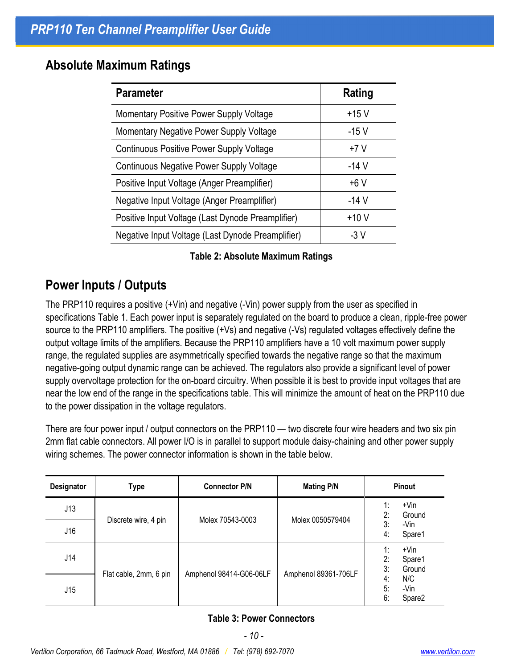| <b>Absolute Maximum Ratings</b> |  |
|---------------------------------|--|
|---------------------------------|--|

| <b>Parameter</b>                                  | Rating |
|---------------------------------------------------|--------|
| <b>Momentary Positive Power Supply Voltage</b>    | $+15V$ |
| <b>Momentary Negative Power Supply Voltage</b>    | $-15V$ |
| <b>Continuous Positive Power Supply Voltage</b>   | $+7V$  |
| Continuous Negative Power Supply Voltage          | $-14V$ |
| Positive Input Voltage (Anger Preamplifier)       | $+6V$  |
| Negative Input Voltage (Anger Preamplifier)       | $-14V$ |
| Positive Input Voltage (Last Dynode Preamplifier) | $+10V$ |
| Negative Input Voltage (Last Dynode Preamplifier) | $-3V$  |

#### **Table 2: Absolute Maximum Ratings**

# **Power Inputs / Outputs**

The PRP110 requires a positive (+Vin) and negative (-Vin) power supply from the user as specified in specifications Table 1. Each power input is separately regulated on the board to produce a clean, ripple-free power source to the PRP110 amplifiers. The positive (+Vs) and negative (-Vs) regulated voltages effectively define the output voltage limits of the amplifiers. Because the PRP110 amplifiers have a 10 volt maximum power supply range, the regulated supplies are asymmetrically specified towards the negative range so that the maximum negative-going output dynamic range can be achieved. The regulators also provide a significant level of power supply overvoltage protection for the on-board circuitry. When possible it is best to provide input voltages that are near the low end of the range in the specifications table. This will minimize the amount of heat on the PRP110 due to the power dissipation in the voltage regulators.

There are four power input / output connectors on the PRP110 — two discrete four wire headers and two six pin 2mm flat cable connectors. All power I/O is in parallel to support module daisy-chaining and other power supply wiring schemes. The power connector information is shown in the table below.

| Designator | <b>Type</b>            | <b>Connector P/N</b>    | <b>Mating P/N</b>    | <b>Pinout</b>                                 |  |
|------------|------------------------|-------------------------|----------------------|-----------------------------------------------|--|
| J13        |                        |                         |                      | $+V$ in<br>1:<br>2:<br>Ground                 |  |
| J16        | Discrete wire, 4 pin   | Molex 70543-0003        | Molex 0050579404     | 3:<br>-Vin<br>4:<br>Spare1                    |  |
| J14        |                        |                         | Amphenol 89361-706LF | $+V$ in<br>1:<br>2:<br>Spare1<br>3:<br>Ground |  |
| J15        | Flat cable, 2mm, 6 pin | Amphenol 98414-G06-06LF |                      | 4:<br>N/C<br>5:<br>-Vin<br>6:<br>Spare2       |  |

#### **Table 3: Power Connectors**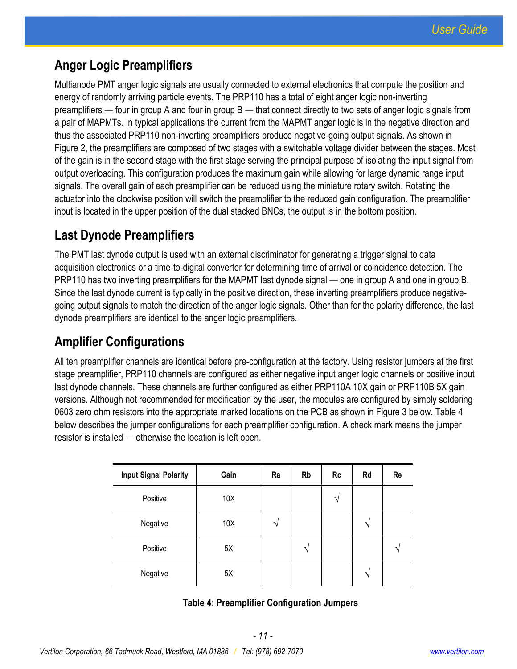# **Anger Logic Preamplifiers**

Multianode PMT anger logic signals are usually connected to external electronics that compute the position and energy of randomly arriving particle events. The PRP110 has a total of eight anger logic non-inverting preamplifiers — four in group A and four in group B — that connect directly to two sets of anger logic signals from a pair of MAPMTs. In typical applications the current from the MAPMT anger logic is in the negative direction and thus the associated PRP110 non-inverting preamplifiers produce negative-going output signals. As shown in Figure 2, the preamplifiers are composed of two stages with a switchable voltage divider between the stages. Most of the gain is in the second stage with the first stage serving the principal purpose of isolating the input signal from output overloading. This configuration produces the maximum gain while allowing for large dynamic range input signals. The overall gain of each preamplifier can be reduced using the miniature rotary switch. Rotating the actuator into the clockwise position will switch the preamplifier to the reduced gain configuration. The preamplifier input is located in the upper position of the dual stacked BNCs, the output is in the bottom position.

# **Last Dynode Preamplifiers**

The PMT last dynode output is used with an external discriminator for generating a trigger signal to data acquisition electronics or a time-to-digital converter for determining time of arrival or coincidence detection. The PRP110 has two inverting preamplifiers for the MAPMT last dynode signal — one in group A and one in group B. Since the last dynode current is typically in the positive direction, these inverting preamplifiers produce negativegoing output signals to match the direction of the anger logic signals. Other than for the polarity difference, the last dynode preamplifiers are identical to the anger logic preamplifiers.

# **Amplifier Configurations**

All ten preamplifier channels are identical before pre-configuration at the factory. Using resistor jumpers at the first stage preamplifier, PRP110 channels are configured as either negative input anger logic channels or positive input last dynode channels. These channels are further configured as either PRP110A 10X gain or PRP110B 5X gain versions. Although not recommended for modification by the user, the modules are configured by simply soldering 0603 zero ohm resistors into the appropriate marked locations on the PCB as shown in Figure 3 below. Table 4 below describes the jumper configurations for each preamplifier configuration. A check mark means the jumper resistor is installed — otherwise the location is left open.

| <b>Input Signal Polarity</b> | Gain | Ra            | <b>Rb</b>     | Rc            | Rd | Re       |
|------------------------------|------|---------------|---------------|---------------|----|----------|
| Positive                     | 10X  |               |               | $\mathcal{N}$ |    |          |
| Negative                     | 10X  | $\mathcal{N}$ |               |               |    |          |
| Positive                     | 5X   |               | $\mathcal{N}$ |               |    | $\Delta$ |
| Negative                     | 5X   |               |               |               | へ  |          |

#### **Table 4: Preamplifier Configuration Jumpers**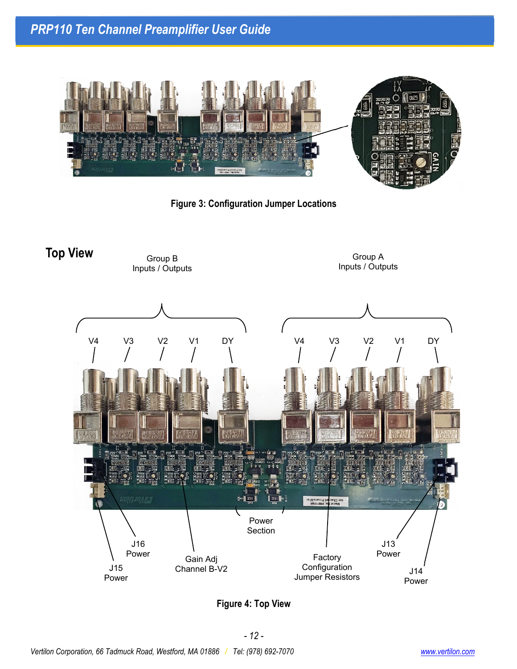

**Figure 3: Configuration Jumper Locations** 



**Figure 4: Top View** 

*- 12 -*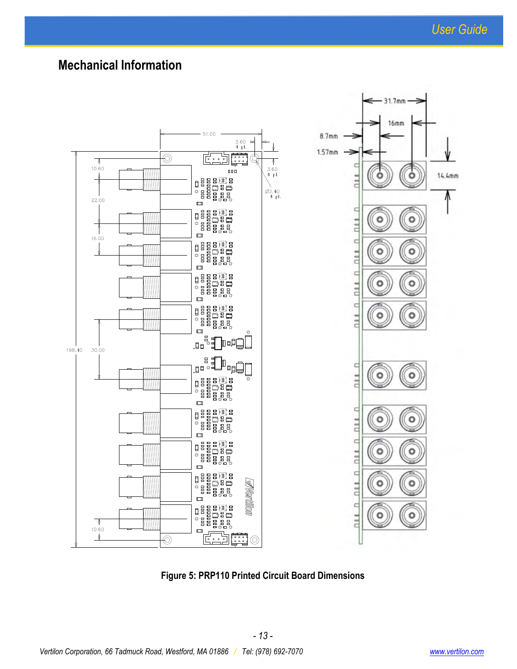# **Mechanical Information**





**Figure 5: PRP110 Printed Circuit Board Dimensions** 

*- 13 -*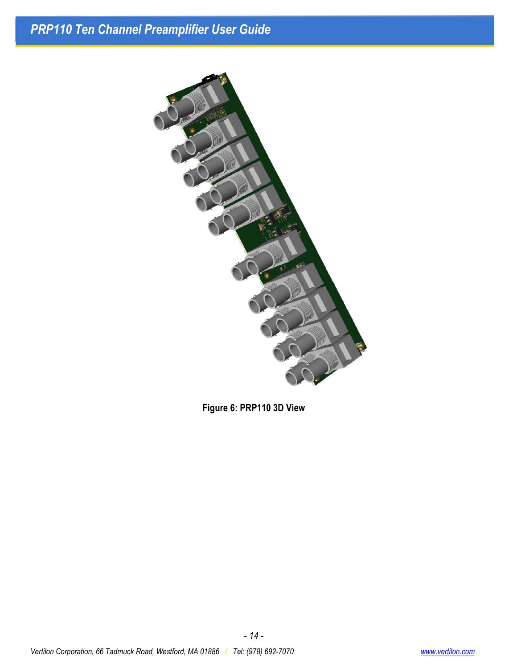# *PRP110 Ten Channel Preamplifier User Guide*



**Figure 6: PRP110 3D View** 

*- 14 -*